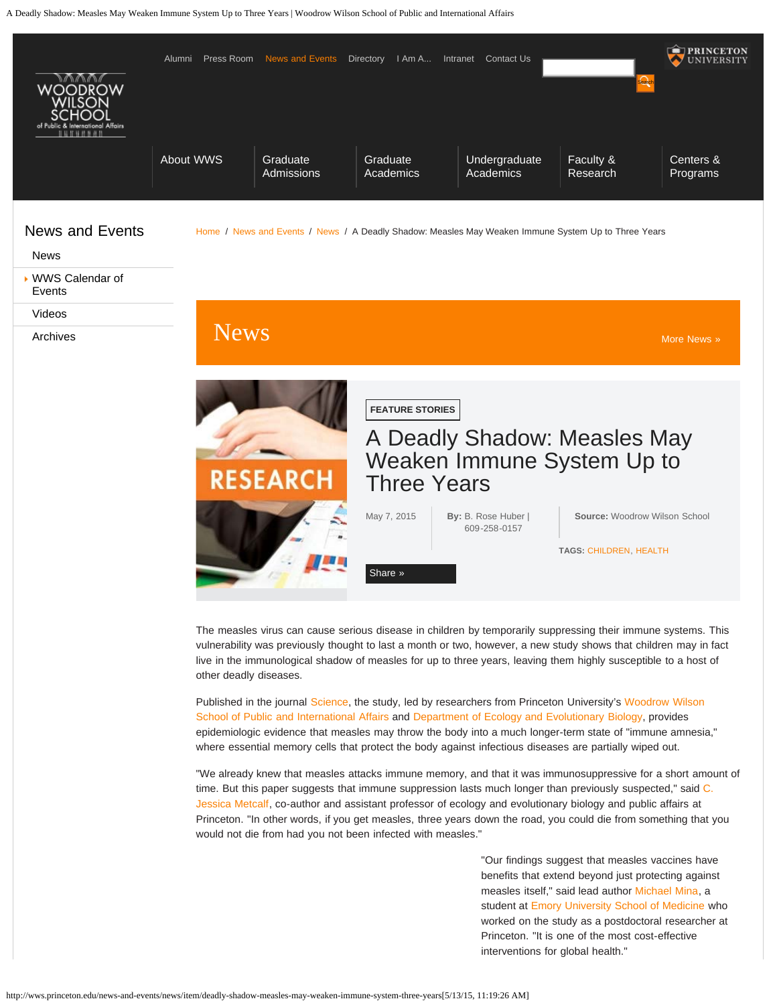

The measles virus can cause serious disease in children by temporarily suppressing their immune systems. This vulnerability was previously thought to last a month or two, however, a new study shows that children may in fact live in the immunological shadow of measles for up to three years, leaving them highly susceptible to a host of other deadly diseases.

Published in the journal [Science,](http://www.sciencemag.org/) the study, led by researchers from Princeton University's [Woodrow Wilson](http://wws.princeton.edu/) [School of Public and International Affairs](http://wws.princeton.edu/) and [Department of Ecology and Evolutionary Biology,](http://www.princeton.edu/eeb/) provides epidemiologic evidence that measles may throw the body into a much longer-term state of "immune amnesia," where essential memory cells that protect the body against infectious diseases are partially wiped out.

"We already knew that measles attacks immune memory, and that it was immunosuppressive for a short amount of time. But this paper suggests that immune suppression lasts much longer than previously suspected," said [C.](http://www.princeton.edu/eeb/people/display_person.xml?netid=cmetcalf&display=Faculty) [Jessica Metcalf,](http://www.princeton.edu/eeb/people/display_person.xml?netid=cmetcalf&display=Faculty) co-author and assistant professor of ecology and evolutionary biology and public affairs at Princeton. "In other words, if you get measles, three years down the road, you could die from something that you would not die from had you not been infected with measles."

> "Our findings suggest that measles vaccines have benefits that extend beyond just protecting against measles itself," said lead author [Michael Mina,](http://med.emory.edu/MDPHD/trainees/current_students/mina_michael.html) a student at [Emory University School of Medicine](https://www.med.emory.edu/) who worked on the study as a postdoctoral researcher at Princeton. "It is one of the most cost-effective interventions for global health."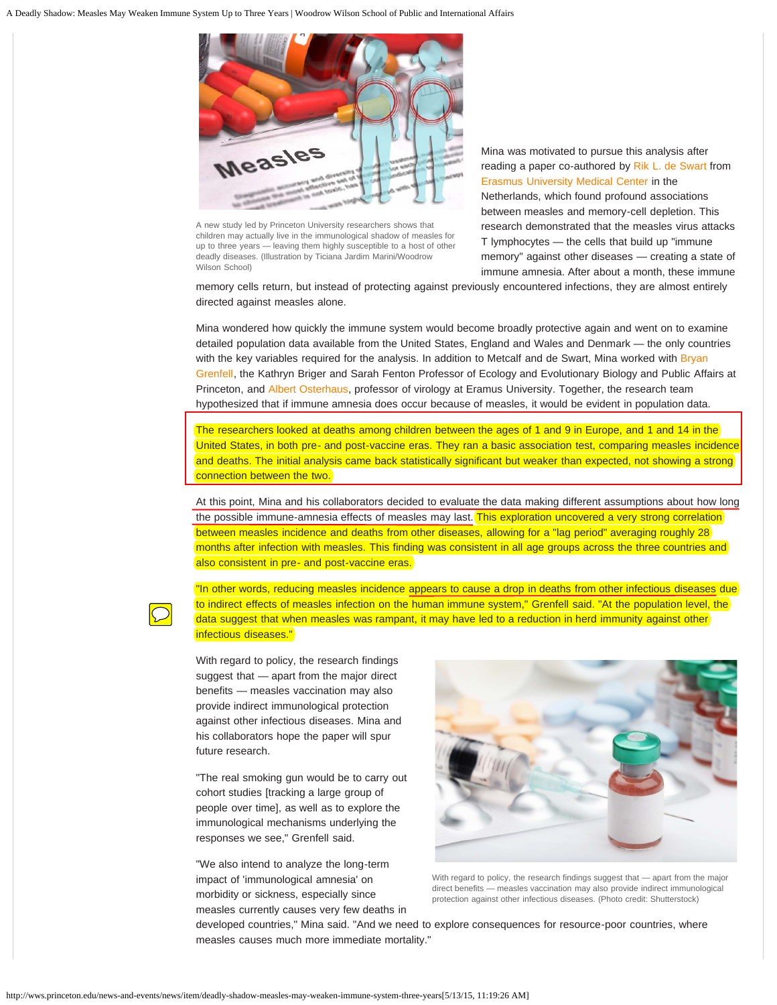

A new study led by Princeton University researchers shows that children may actually live in the immunological shadow of measles for up to three years — leaving them highly susceptible to a host of other deadly diseases. (Illustration by Ticiana Jardim Marini/Woodrow Wilson School)

Mina was motivated to pursue this analysis after reading a paper co-authored by [Rik L. de Swart](http://www.researchgate.net/profile/Rik_De_Swart) from [Erasmus University Medical Center](http://www.erasmusmc.nl/?lang=en) in the Netherlands, which found profound associations between measles and memory-cell depletion. This research demonstrated that the measles virus attacks T lymphocytes — the cells that build up "immune memory" against other diseases — creating a state of immune amnesia. After about a month, these immune

memory cells return, but instead of protecting against previously encountered infections, they are almost entirely directed against measles alone.

Mina wondered how quickly the immune system would become broadly protective again and went on to examine detailed population data available from the United States, England and Wales and Denmark — the only countries with the key variables required for the analysis. In addition to Metcalf and de Swart, Mina worked with [Bryan](http://www.princeton.edu/eeb/people/display_person.xml?netid=grenfell) [Grenfell,](http://www.princeton.edu/eeb/people/display_person.xml?netid=grenfell) the Kathryn Briger and Sarah Fenton Professor of Ecology and Evolutionary Biology and Public Affairs at Princeton, and [Albert Osterhaus,](http://en.wikipedia.org/wiki/Ab_Osterhaus) professor of virology at Eramus University. Together, the research team hypothesized that if immune amnesia does occur because of measles, it would be evident in population data.

The researchers looked at deaths among children between the ages of 1 and 9 in Europe, and 1 and 14 in the United States, in both pre- and post-vaccine eras. They ran a basic association test, comparing measles incidence and deaths. The initial analysis came back statistically significant but weaker than expected, not showing a strong connection between the two.

At this point, Mina and his collaborators decided to evaluate the data making different assumptions about how long the possible immune-amnesia effects of measles may last. This exploration uncovered a very strong correlation between measles incidence and deaths from other diseases, allowing for a "lag period" averaging roughly 28 months after infection with measles. This finding was consistent in all age groups across the three countries and also consistent in pre- and post-vaccine eras.

"In other words, reducing measles incidence appears to cause a drop in deaths from other infectious diseases due to indirect effects of measles infection on the human immune system," Grenfell said. "At the population level, the data suggest that when measles was rampant, it may have led to a reduction in herd immunity against other infectious diseases."

With regard to policy, the research findings suggest that — apart from the major direct benefits — measles vaccination may also provide indirect immunological protection against other infectious diseases. Mina and his collaborators hope the paper will spur future research.

"The real smoking gun would be to carry out cohort studies [tracking a large group of people over time], as well as to explore the immunological mechanisms underlying the responses we see," Grenfell said.

"We also intend to analyze the long-term impact of 'immunological amnesia' on morbidity or sickness, especially since measles currently causes very few deaths in



With regard to policy, the research findings suggest that — apart from the major direct benefits — measles vaccination may also provide indirect immunological protection against other infectious diseases. (Photo credit: Shutterstock)

developed countries," Mina said. "And we need to explore consequences for resource-poor countries, where measles causes much more immediate mortality."